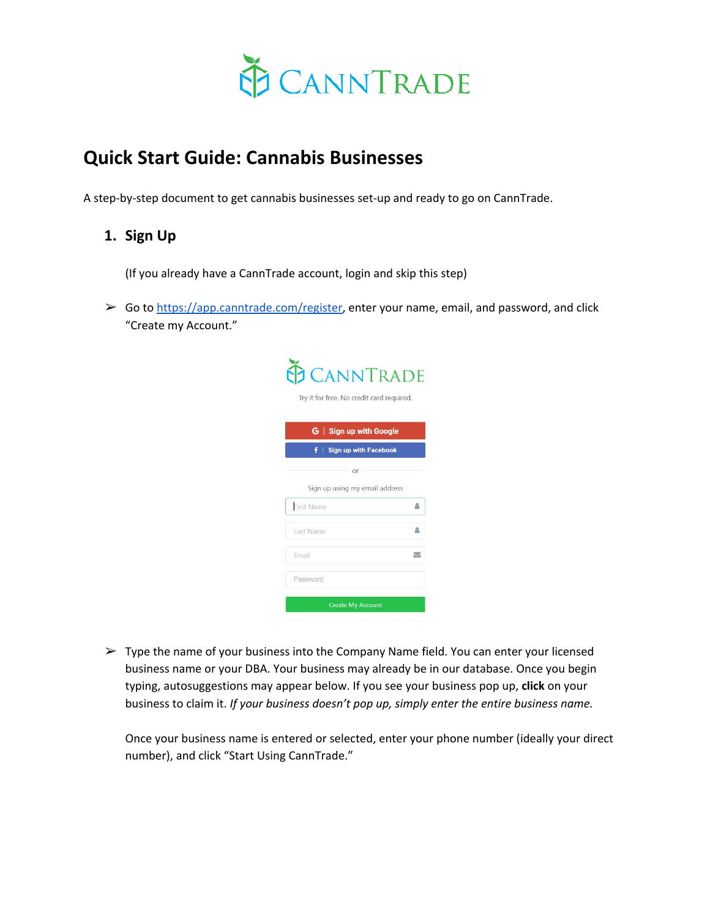

# **Quick Start Guide: Cannabis Businesses**

A step-by-step document to get cannabis businesses set-up and ready to go on CannTrade.

# **1. Sign Up**

(If you already have a CannTrade account, login and skip this step)

 $\triangleright$  Go to [https://app.canntrade.com/register,](https://app.canntrade.com/register) enter your name, email, and password, and click "Create my Account."

| <b>CANNTRADE</b><br>Try it for free. No credit card required. |                          |
|---------------------------------------------------------------|--------------------------|
| G   Sign up with Google                                       |                          |
| Sign up with Facebook<br>÷.                                   |                          |
| or                                                            |                          |
| Sign up using my email address                                |                          |
| <b>First Name</b>                                             | 2                        |
| Last Name                                                     |                          |
| Email                                                         | $\overline{\phantom{0}}$ |
|                                                               |                          |

 $\triangleright$  Type the name of your business into the Company Name field. You can enter your licensed business name or your DBA. Your business may already be in our database. Once you begin typing, autosuggestions may appear below. If you see your business pop up, **click** on your business to claim it. *If your business doesn't pop up, simply enter the entire business name.* 

Once your business name is entered or selected, enter your phone number (ideally your direct number), and click "Start Using CannTrade."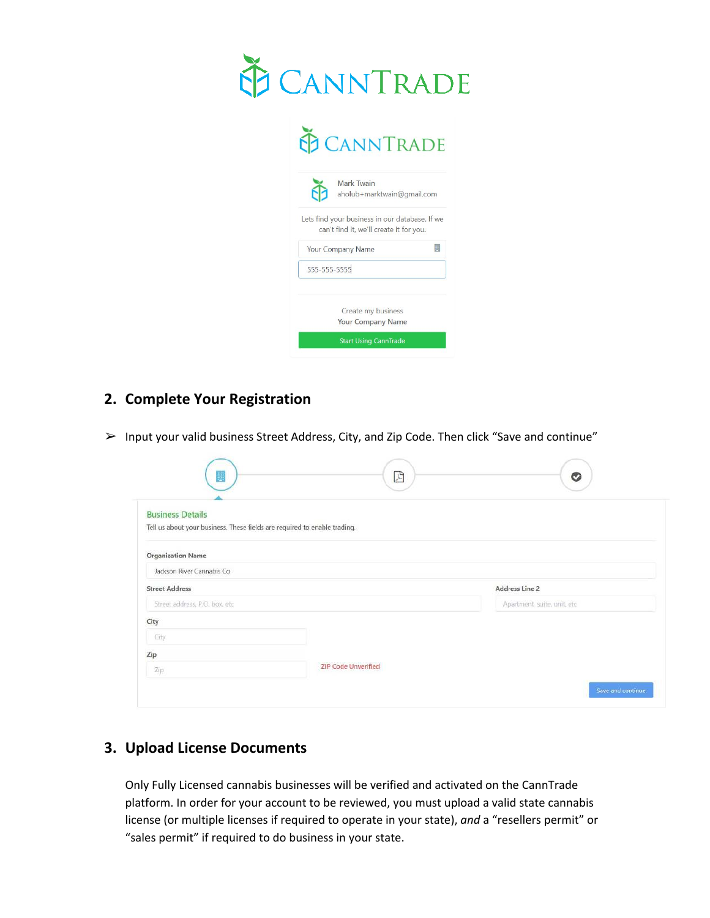

 $\overline{\phantom{a}}$ 

| Lets find your business in our database. If we<br>can't find it, we'll create it for you. |                                                |
|-------------------------------------------------------------------------------------------|------------------------------------------------|
|                                                                                           |                                                |
| Your Company Name                                                                         |                                                |
|                                                                                           |                                                |
|                                                                                           |                                                |
|                                                                                           | Create my business<br><b>Your Company Name</b> |

# **2. Complete Your Registration**

➢ Input your valid business Street Address, City, and Zip Code. Then click "Save and continue"

| W                              | $\mathbb{Z}$                                                              | $\circ$                      |
|--------------------------------|---------------------------------------------------------------------------|------------------------------|
| <b>Business Details</b>        |                                                                           |                              |
|                                | Tell us about your business. These fields are required to enable trading. |                              |
| <b>Organization Name</b>       |                                                                           |                              |
| Jackson River Cannabis Co      |                                                                           |                              |
| <b>Street Address</b>          |                                                                           | Address Line 2               |
| Street address, P.O. box, etc. |                                                                           | Apartment, suite, unit, etc. |
| City                           |                                                                           |                              |
| City                           |                                                                           |                              |
| Zip                            |                                                                           |                              |
| Zip                            | <b>ZIP Code Unverified</b>                                                |                              |
|                                |                                                                           | Save and continue:           |

# **3. Upload License Documents**

Only Fully Licensed cannabis businesses will be verified and activated on the CannTrade platform. In order for your account to be reviewed, you must upload a valid state cannabis license (or multiple licenses if required to operate in your state), *and* a "resellers permit" or "sales permit" if required to do business in your state.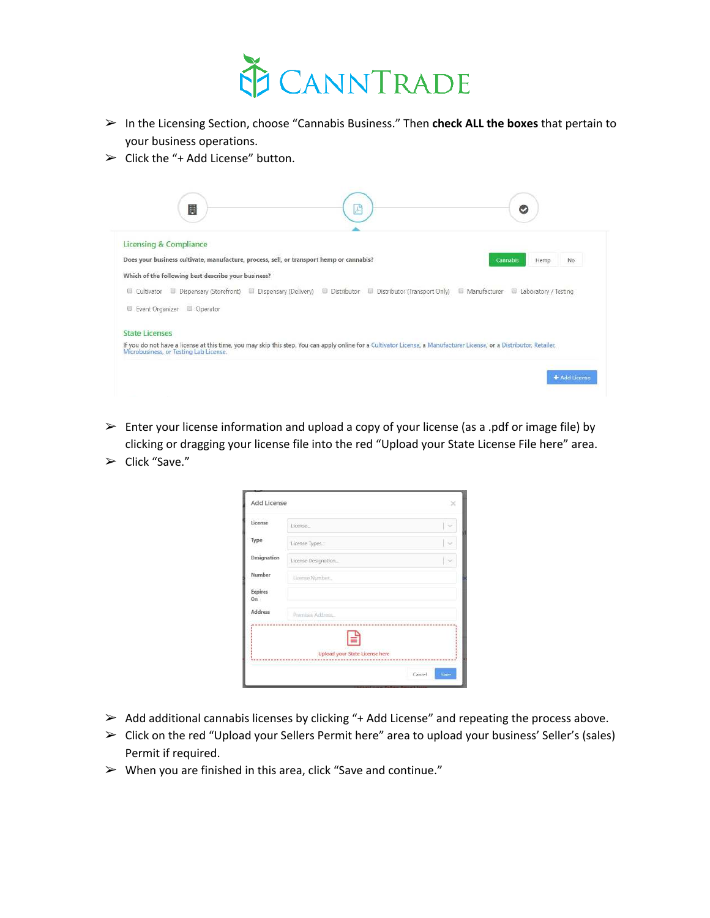

- ➢ In the Licensing Section, choose "Cannabis Business." Then **check ALL the boxes** that pertain to your business operations.
- $\triangleright$  Click the "+ Add License" button.



- $\triangleright$  Enter your license information and upload a copy of your license (as a .pdf or image file) by clicking or dragging your license file into the red "Upload your State License File here" area.
- $\triangleright$  Click "Save."

| Add License    |                                                                    | - 50   |
|----------------|--------------------------------------------------------------------|--------|
| License        | License                                                            | $\sim$ |
| Type           | License Types                                                      | l se   |
| Designation    | License Designation                                                |        |
| Number         | License Number.                                                    |        |
| Expires<br>On. |                                                                    |        |
| Address        | Premises Address                                                   |        |
|                | -----------------<br>È<br>Upload your State License here<br>Cancel | Save   |

- $\triangleright$  Add additional cannabis licenses by clicking "+ Add License" and repeating the process above.
- ➢ Click on the red "Upload your Sellers Permit here" area to upload your business' Seller's (sales) Permit if required.
- $\triangleright$  When you are finished in this area, click "Save and continue."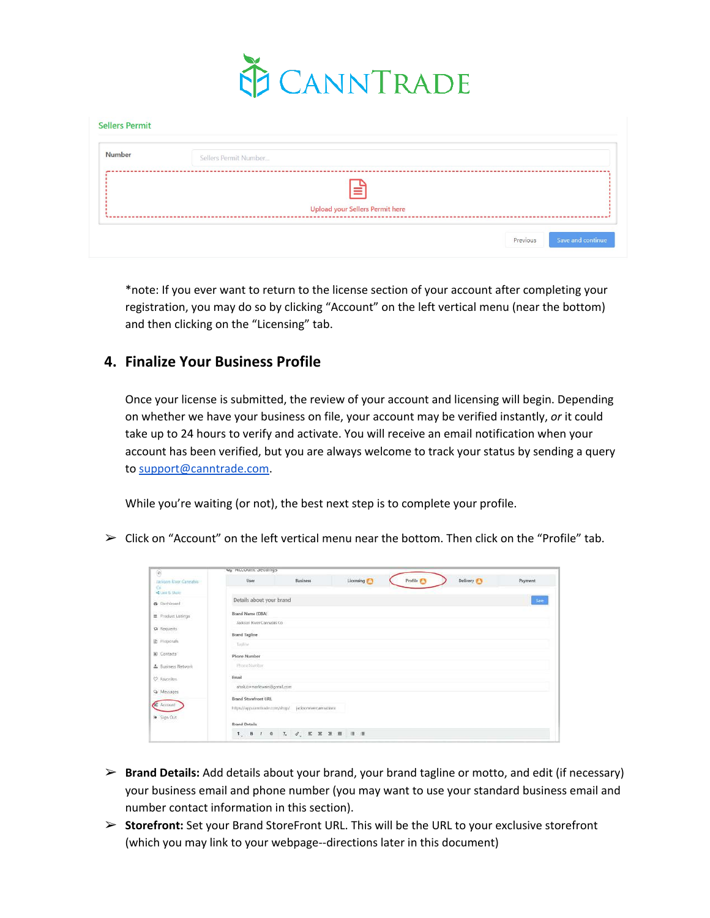

| <b>Number</b> | Sellers Permit Number                  |
|---------------|----------------------------------------|
|               | ≡                                      |
|               | <b>Upload your Sellers Permit here</b> |

\*note: If you ever want to return to the license section of your account after completing your registration, you may do so by clicking "Account" on the left vertical menu (near the bottom) and then clicking on the "Licensing" tab.

### **4. Finalize Your Business Profile**

Once your license is submitted, the review of your account and licensing will begin. Depending on whether we have your business on file, your account may be verified instantly, *or* it could take up to 24 hours to verify and activate. You will receive an email notification when your account has been verified, but you are always welcome to track your status by sending a query to [support@canntrade.com](mailto:support@canntrade.com).

While you're waiting (or not), the best next step is to complete your profile.

 $\triangleright$  Click on "Account" on the left vertical menu near the bottom. Then click on the "Profile" tab.

| $\left[ 0\right]$                              | we Account Settings                                 |                                                       |           |           |          |          |
|------------------------------------------------|-----------------------------------------------------|-------------------------------------------------------|-----------|-----------|----------|----------|
| Jackson Wyer Cannabis<br>Gi.<br>Clink to Shake | User.                                               | <b>Business</b>                                       | Licensing | Profile # | Delivery | Payment. |
| <b>69</b> DasPrheard                           | Details about your brand                            |                                                       |           |           |          | Saint    |
| Freduct Listings                               | Brand Name (DBA)<br>Jackson River Cannabis Co.      |                                                       |           |           |          |          |
| ta Requests                                    | <b>Brand Tagline</b>                                |                                                       |           |           |          |          |
| E Frepouls                                     | Taglioe:                                            |                                                       |           |           |          |          |
| (a) Contacts                                   | Phone Number                                        |                                                       |           |           |          |          |
| A. Business Network                            | Phone Sturcher<br>Email                             |                                                       |           |           |          |          |
| C Favorites<br>Ca Messages                     | ahokib+marktwain@gmaf.com                           |                                                       |           |           |          |          |
| <b>O</b> Asznund<br>Sign Out                   | <b>Brand Storefront URL</b><br><b>Brand Details</b> | https://app.camrtrade.com/shop/ jackson/wercannabisco |           |           |          |          |
|                                                |                                                     | 1. 8 1 0 1. 2. 三三三三 三三                                |           |           |          |          |

- ➢ **Brand Details:** Add details about your brand, your brand tagline or motto, and edit (if necessary) your business email and phone number (you may want to use your standard business email and number contact information in this section).
- ➢ **Storefront:** Set your Brand StoreFront URL. This will be the URL to your exclusive storefront (which you may link to your webpage--directions later in this document)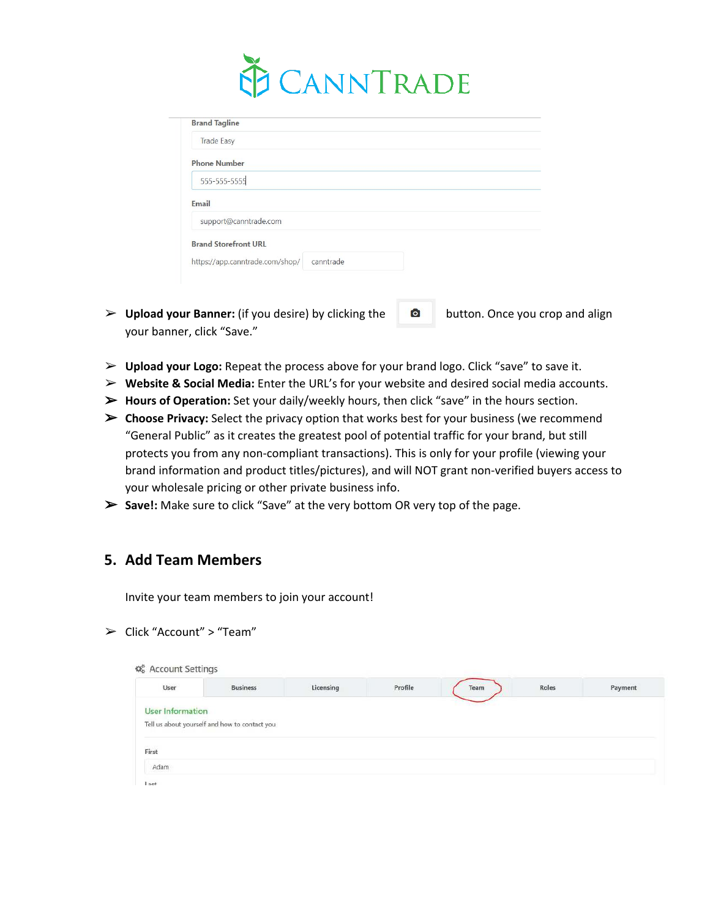

| <b>Brand Tagline</b>            |           |  |  |
|---------------------------------|-----------|--|--|
| <b>Trade Easy</b>               |           |  |  |
| <b>Phone Number</b>             |           |  |  |
| 555-555-5555                    |           |  |  |
| Email                           |           |  |  |
| support@canntrade.com           |           |  |  |
| <b>Brand Storefront URL</b>     |           |  |  |
| https://app.canntrade.com/shop/ | canntrade |  |  |

- **► Upload your Banner:** (if you desire) by clicking the **D** button. Once you crop and align your banner, click "Save."
- ➢ **Upload your Logo:** Repeat the process above for your brand logo. Click "save" to save it.
- ➢ **Website & Social Media:** Enter the URL's for your website and desired social media accounts.
- ➢ **Hours of Operation:** Set your daily/weekly hours, then click "save" in the hours section.
- ➢ **Choose Privacy:** Select the privacy option that works best for your business (we recommend "General Public" as it creates the greatest pool of potential traffic for your brand, but still protects you from any non-compliant transactions). This is only for your profile (viewing your brand information and product titles/pictures), and will NOT grant non-verified buyers access to your wholesale pricing or other private business info.
- ➢ **Save!:** Make sure to click "Save" at the very bottom OR very top of the page.

#### **5. Add Team Members**

Invite your team members to join your account!

➢ Click "Account" > "Team"

| 4% Account Settings     |                                               |           |         |      |       |         |
|-------------------------|-----------------------------------------------|-----------|---------|------|-------|---------|
| User                    | <b>Business</b>                               | Licensing | Profile | Team | Roles | Payment |
| <b>User Information</b> |                                               |           |         |      |       |         |
|                         | Tell us about yourself and how to contact you |           |         |      |       |         |
| First                   |                                               |           |         |      |       |         |
| Adam                    |                                               |           |         |      |       |         |
| last                    |                                               |           |         |      |       |         |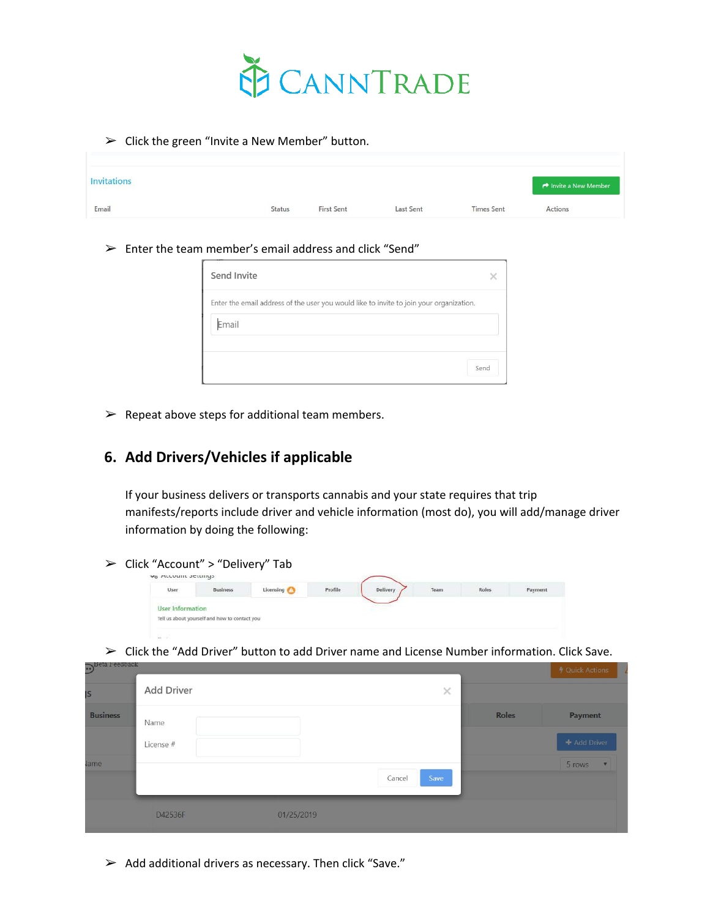

 $\triangleright$  Click the green "Invite a New Member" button.

| <b>Invitations</b><br>a salah di kacamatan ing kacamatan |               |                   |                  |                   | Invite a New Member |
|----------------------------------------------------------|---------------|-------------------|------------------|-------------------|---------------------|
| Email                                                    | <b>Status</b> | <b>First Sent</b> | <b>Last Sent</b> | <b>Times Sent</b> | Actions<br>$-100$   |

 $\triangleright$  Enter the team member's email address and click "Send"

| Send Invite                                                                             |      |
|-----------------------------------------------------------------------------------------|------|
| Enter the email address of the user you would like to invite to join your organization. |      |
| Email                                                                                   |      |
|                                                                                         |      |
|                                                                                         | Send |

 $\triangleright$  Repeat above steps for additional team members.

# **6. Add Drivers/Vehicles if applicable**

If your business delivers or transports cannabis and your state requires that trip manifests/reports include driver and vehicle information (most do), you will add/manage driver information by doing the following:

➢ Click "Account" > "Delivery" Tab

| User        | <b>Business</b><br><b>A TANTO RESIDENT</b>    | Licensing | Profile | Delivery | Team<br><b>STATISTICS</b> | Roles<br><b>STATISTICS</b> | Payment |
|-------------|-----------------------------------------------|-----------|---------|----------|---------------------------|----------------------------|---------|
| Information |                                               |           |         |          |                           |                            |         |
|             | Tell us about yourself and how to contact you |           |         |          |                           |                            |         |

 $\triangleright$  Click the "Add Driver" button to add Driver name and License Number information. Click Save.

| $\cdot$         |                   |            |                |              | ↑ Quick Actions                   |
|-----------------|-------------------|------------|----------------|--------------|-----------------------------------|
| IS              | <b>Add Driver</b> |            | ×              |              |                                   |
| <b>Business</b> | Name              |            |                | <b>Roles</b> | Payment                           |
|                 | License #         |            |                |              | + Add Driver                      |
| lame            |                   |            | Save<br>Cancel |              | 5 rows<br>$\overline{\mathbf{v}}$ |
|                 | D42536F           | 01/25/2019 |                |              |                                   |

 $\triangleright$  Add additional drivers as necessary. Then click "Save."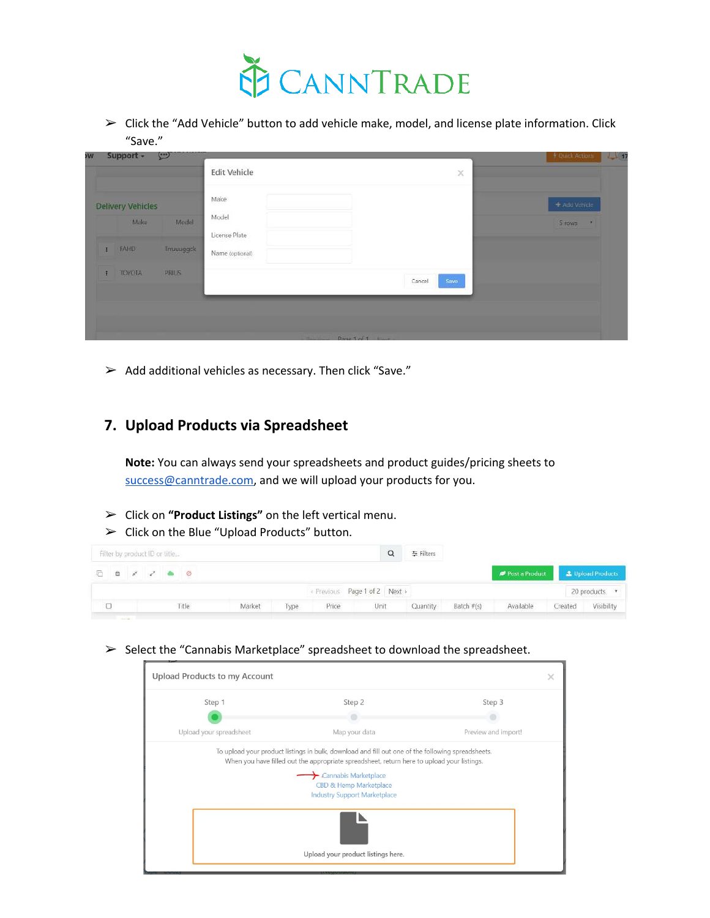

 $\triangleright$  Click the "Add Vehicle" button to add vehicle make, model, and license plate information. Click "Save."

|   |                          |                   | <b>Edit Vehicle</b>    | ×              |               |
|---|--------------------------|-------------------|------------------------|----------------|---------------|
|   | <b>Delivery Vehicles</b> |                   | Make                   |                | + Add Vehicle |
|   | Make                     | Model             | Model<br>License Plate |                | 5 rows<br>×   |
| × | <b>FAHD</b>              | <b>Trruuuggck</b> | Name (optional)        |                |               |
|   | <b>TOYOTA</b>            | PRIUS             |                        | Save<br>Cancel |               |

 $\triangleright$  Add additional vehicles as necessary. Then click "Save."

### **7. Upload Products via Spreadsheet**

**Note:** You can always send your spreadsheets and product guides/pricing sheets to [success@canntrade.com,](mailto:success@canntrade.com) and we will upload your products for you.

- ➢ Click on **"Product Listings"** on the left vertical menu.
- $\triangleright$  Click on the Blue "Upload Products" button.

| Filter by product ID or title                                                                               |  |       |        |      |       |                             | 三 Filters |            |                                 |         |               |
|-------------------------------------------------------------------------------------------------------------|--|-------|--------|------|-------|-----------------------------|-----------|------------|---------------------------------|---------|---------------|
| $\begin{array}{ccccccccccccccccc} \Box & \Box & \Box & \Box & \Box & \Box & \Box & \Box & \Box \end{array}$ |  |       |        |      |       |                             |           |            | Post a Product Lipload Products |         |               |
|                                                                                                             |  |       |        |      |       | Previous Page 1 of 2 Next > |           |            |                                 |         | 20 products • |
|                                                                                                             |  | Title | Market | Type | Price | Unit                        | Quantity  | Batch #(s) | Available                       | Created | Visibility    |
| <b>Contract Contract Contract</b>                                                                           |  |       |        |      |       |                             |           |            |                                 |         |               |

➢ Select the "Cannabis Marketplace" spreadsheet to download the spreadsheet.

| Step 1                  | Step 2                                                                                                                                                                                                                                                                                                         | Step 3              |
|-------------------------|----------------------------------------------------------------------------------------------------------------------------------------------------------------------------------------------------------------------------------------------------------------------------------------------------------------|---------------------|
|                         |                                                                                                                                                                                                                                                                                                                |                     |
| Upload your spreadsheet | Map your data                                                                                                                                                                                                                                                                                                  | Preview and import! |
|                         | To upload your product listings in bulk, download and fill out one of the following spreadsheets.<br>When you have filled out the appropriate spreadsheet, return here to upload your listings.<br>$\blacktriangleright$ Cannabis Marketplace<br>CBD & Hemp Marketplace<br><b>Industry Support Marketplace</b> |                     |
|                         |                                                                                                                                                                                                                                                                                                                |                     |
|                         |                                                                                                                                                                                                                                                                                                                |                     |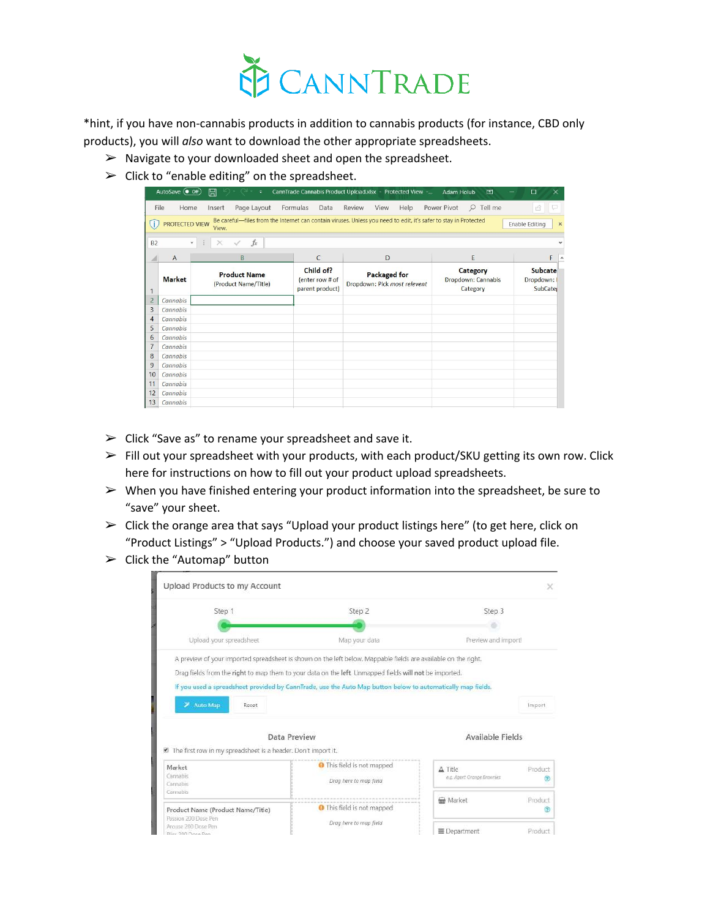

\*hint, if you have non-cannabis products in addition to cannabis products (for instance, CBD only products), you will *also* want to download the other appropriate spreadsheets.

- $\triangleright$  Navigate to your downloaded sheet and open the spreadsheet.
- $\triangleright$  Click to "enable editing" on the spreadsheet.

|                | AutoSave (Off)        | 日<br>$\ddot{ }$                             |                                                 | CannTrade Cannabis Product Upload.xlsx - Protected View -                                                        | Adam Holub<br>困                            | $\times$<br>□                                  |
|----------------|-----------------------|---------------------------------------------|-------------------------------------------------|------------------------------------------------------------------------------------------------------------------|--------------------------------------------|------------------------------------------------|
|                | File<br>Home          | Page Layout<br>Insert                       | Formulas<br>Data                                | Review<br>View<br>Help                                                                                           | $Q$ Tell me<br>Power Pivot                 | P<br>$\beta$                                   |
|                | <b>PROTECTED VIEW</b> | View.                                       |                                                 | Be careful-files from the Internet can contain viruses. Unless you need to edit, it's safer to stay in Protected |                                            | <b>Enable Editing</b><br>$\times$              |
| <b>B2</b>      | $\mathbf{w}$          | $f_x$<br>$\times$<br>-6                     |                                                 |                                                                                                                  |                                            |                                                |
|                | $\overline{A}$        | B                                           | $\mathsf{C}$                                    | D                                                                                                                | E                                          | F<br><b>A</b>                                  |
|                | <b>Market</b>         | <b>Product Name</b><br>(Product Name/Title) | Child of?<br>(enter row # of<br>parent product) | <b>Packaged for</b><br>Dropdown: Pick most relevent                                                              | Category<br>Dropdown: Cannabis<br>Category | <b>Subcate</b><br>Dropdown:<br><b>SubCater</b> |
| $\overline{2}$ | Cannabis              |                                             |                                                 |                                                                                                                  |                                            |                                                |
| 3              | Cannabis              |                                             |                                                 |                                                                                                                  |                                            |                                                |
| $\overline{4}$ | Cannabis              |                                             |                                                 |                                                                                                                  |                                            |                                                |
| 5              | Cannabis              |                                             |                                                 |                                                                                                                  |                                            |                                                |
| 6              | Cannabis              |                                             |                                                 |                                                                                                                  |                                            |                                                |
|                | Cannabis              |                                             |                                                 |                                                                                                                  |                                            |                                                |
| 8              | Cannabis              |                                             |                                                 |                                                                                                                  |                                            |                                                |
| 9              | Cannabis              |                                             |                                                 |                                                                                                                  |                                            |                                                |
| 10             | Cannabis              |                                             |                                                 |                                                                                                                  |                                            |                                                |
| 11             | Cannabis              |                                             |                                                 |                                                                                                                  |                                            |                                                |
| 12             | Cannabis              |                                             |                                                 |                                                                                                                  |                                            |                                                |
| 13             | Cannabis              |                                             |                                                 |                                                                                                                  |                                            |                                                |

- $\triangleright$  Click "Save as" to rename your spreadsheet and save it.
- ➢ Fill out your spreadsheet with your products, with each product/SKU getting its own row. Click here for instructions on how to fill out your product upload spreadsheets.
- $\triangleright$  When you have finished entering your product information into the spreadsheet, be sure to "save" your sheet.
- $\triangleright$  Click the orange area that says "Upload your product listings here" (to get here, click on "Product Listings" > "Upload Products.") and choose your saved product upload file.
- $\triangleright$  Click the "Automap" button

| Upload Products to my Account                                 |                                                                                                                |                                       | ×            |
|---------------------------------------------------------------|----------------------------------------------------------------------------------------------------------------|---------------------------------------|--------------|
| Step 1                                                        | Step 2                                                                                                         | Step 3                                |              |
|                                                               |                                                                                                                |                                       |              |
| Upload your spreadsheet                                       | Map your data                                                                                                  | Preview and import!                   |              |
|                                                               | A preview of your imported spreadsheet is shown on the left below. Mappable fields are available on the right. |                                       |              |
|                                                               | Drag fields from the right to map them to your data on the left. Unmapped fields will not be imported.         |                                       |              |
|                                                               | If you used a spreadsheet provided by CannTrade, use the Auto Map button below to automatically map fields.    |                                       |              |
| Auto Map<br><del>∕</del><br>Reset                             |                                                                                                                |                                       | Import       |
| Data Preview                                                  |                                                                                                                | Available Fields                      |              |
| The first row in my spreadsheet is a header. Don't import it. |                                                                                                                |                                       |              |
| Market<br>Cannabis<br>Cannabis                                | <b>O</b> This field is not mapped<br>Drag here to map field                                                    | A Title<br>e.g. Agent Orange Brownies | Product<br>C |
| Cannabis                                                      |                                                                                                                | Market                                | Product      |
| Product Name (Product Name/Title)<br>Passion 200 Dose Pen     | <b>O</b> This field is not mapped<br>Drag here to map field                                                    |                                       | Q)           |
| Arouse 200 Dose Pen<br>Blire 200 Doca Ran                     |                                                                                                                | ≡ Department                          | Product      |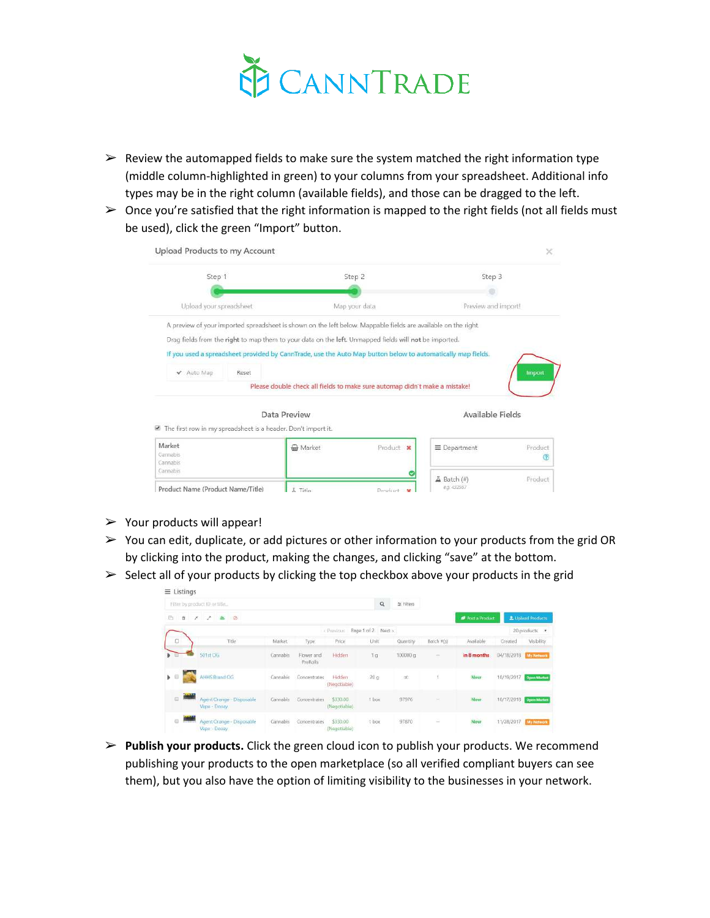

- $\triangleright$  Review the automapped fields to make sure the system matched the right information type (middle column-highlighted in green) to your columns from your spreadsheet. Additional info types may be in the right column (available fields), and those can be dragged to the left.
- $\triangleright$  Once you're satisfied that the right information is mapped to the right fields (not all fields must be used), click the green "Import" button.

| Upload Products to my Account                                                                                  |                |                                                                            |                     | ×                  |
|----------------------------------------------------------------------------------------------------------------|----------------|----------------------------------------------------------------------------|---------------------|--------------------|
| Step 1                                                                                                         |                | Step 2                                                                     | Step 3              |                    |
|                                                                                                                |                |                                                                            |                     |                    |
| Upload your spreadsheet.                                                                                       |                | Map your data                                                              | Preview and import! |                    |
| A preview of your imported spreadsheet is shown on the left below. Mappable fields are available on the right. |                |                                                                            |                     |                    |
| Drag fields from the right to map them to your data on the left. Unmapped fields will not be imported.         |                |                                                                            |                     |                    |
| If you used a spreadsheet provided by CannTrade, use the Auto Map button below to automatically map fields.    |                |                                                                            |                     |                    |
| Auto Map<br>Reset<br>v                                                                                         |                |                                                                            |                     | Import             |
|                                                                                                                |                | Please double check all fields to make sure automap didn't make a mistake! |                     |                    |
| The first row in my spreadsheet is a header. Don't import it.                                                  | Data Preview   |                                                                            | Available Fields    |                    |
| Market<br>Cannabis<br>Cannahis                                                                                 | Market         | Product X                                                                  | $\equiv$ Department | Product<br>$\circ$ |
| Cannabis                                                                                                       |                |                                                                            | $\Delta$ Batch (#)  | Product            |
| Product Name (Product Name/Title)                                                                              | <b>A</b> Title | Product.<br>$\mathbf{v}$                                                   | e.g. 432567         |                    |

- $\triangleright$  Your products will appear!
- $\triangleright$  You can edit, duplicate, or add pictures or other information to your products from the grid OR by clicking into the product, making the changes, and clicking "save" at the bottom.
- $\triangleright$  Select all of your products by clicking the top checkbox above your products in the grid

|                                        | $\equiv$ Listings                         |       |           |                        |                          |                    |              |            |                       |                      |                              |
|----------------------------------------|-------------------------------------------|-------|-----------|------------------------|--------------------------|--------------------|--------------|------------|-----------------------|----------------------|------------------------------|
|                                        | Filter by product ID or title             |       |           |                        |                          | $\alpha$           | 左 Filters    |            |                       |                      |                              |
| 后                                      | 實<br>$\bullet$ $\circ$<br>↗<br>×          |       |           |                        |                          |                    |              |            | <b>Post</b> a Product |                      | <b>L</b> Upload Products     |
|                                        |                                           |       |           |                        | - Previous               | Page 1 of 2 Next > |              |            |                       |                      | 20 products<br>$\mathcal{F}$ |
| $\Box$                                 |                                           | Title | Market    | Type:                  | Price                    | Unit               | Quantity     | Batch #(s) | Available             | Created              | Visibility                   |
|                                        | 501st OG                                  |       | Cannabis. | Flower and<br>PreRolls | Hidden                   | Tg                 | 100000 g     | s.         | in 8 months           | 04/18/2018           | <b>My Network</b>            |
| $\rightarrow$                          | AHHS Brand OG                             |       | Cannabis  | Concentrates           | Hidden<br>(Negotiable)   | 20.0               | $1$          |            | Now                   | 10/19/2017           | <b>Open Market</b>           |
| $\begin{array}{c} \square \end{array}$ | Agent Orange - Disposable<br>Vape - Doozy |       | Cannabis  | Concentrates           | \$330.00<br>(Negotiable) | 1 box              | 97976        | $\sim$     | <b>Now</b>            | 10/17/2018           | <b>Open Market</b>           |
| $\odot$                                | Agent Orange - Disposable<br>Vape - Doozy |       | Cannabis  | Concentrates           | \$330.00<br>(Negotiable) | 1 box              | 97870<br>- 3 | 2          | Now.                  | 11/28/2017 M-Network |                              |

➢ **Publish your products.** Click the green cloud icon to publish your products. We recommend publishing your products to the open marketplace (so all verified compliant buyers can see them), but you also have the option of limiting visibility to the businesses in your network.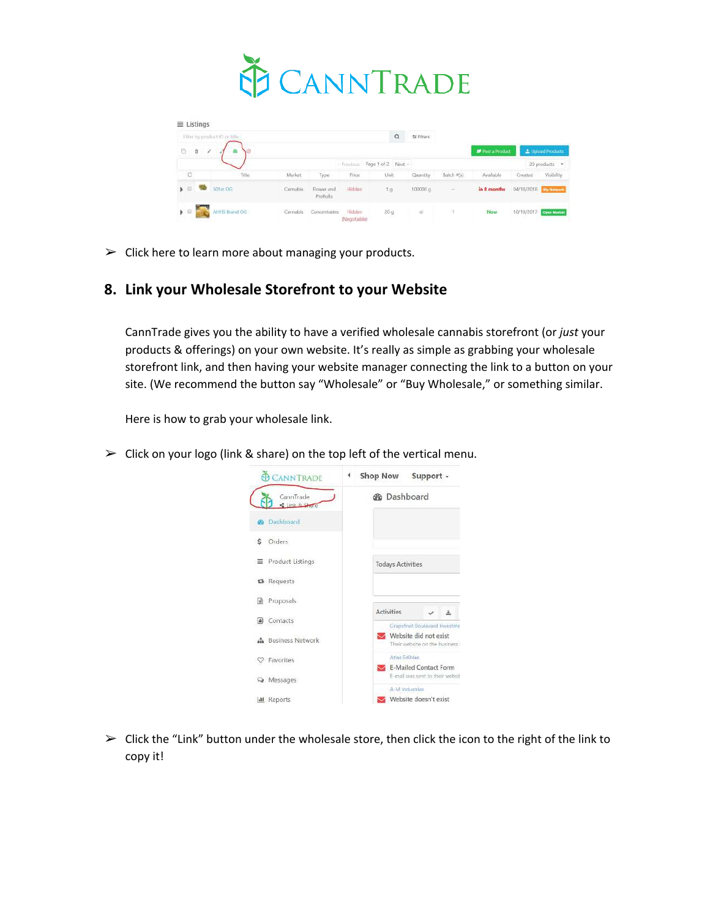

| $\equiv$ Listings       |                               |          |                        |                        |                               |           |            |                       |         |                        |
|-------------------------|-------------------------------|----------|------------------------|------------------------|-------------------------------|-----------|------------|-----------------------|---------|------------------------|
|                         | Filter by product ID or fitte |          |                        |                        | $\alpha$                      | 至 Filters |            |                       |         |                        |
| ä<br>G                  | ž<br><b>VØ</b>                |          |                        |                        |                               |           |            | <b>Post a Product</b> |         | L Upload Products      |
|                         |                               |          |                        |                        | - Previous Page 1 of 2 Next - |           |            |                       |         | 20 products *          |
| O                       | Title                         | Market   | Type                   | Price                  | Unit                          | Quantity  | Batch #(s) | Available             | Created | Visibility             |
| - 一 一                   | 501st OG                      | Cannabis | Flower and<br>PreRolls | Hidden                 | 1.9                           | 100000 g  | s          | in 8 months           |         | 04/18/2018 My Nimon    |
| $\blacktriangleright$ 0 | AHHS Brand OG                 | Cannabis | Concentrates           | Hidden<br>(Negotiable) | 20q                           | $\infty$  |            | Now                   |         | 10/19/2017 Open Market |

 $\triangleright$  Click here to learn more about managing your products.

### **8. Link your Wholesale Storefront to your Website**

CannTrade gives you the ability to have a verified wholesale cannabis storefront (or *just* your products & offerings) on your own website. It's really as simple as grabbing your wholesale storefront link, and then having your website manager connecting the link to a button on your site. (We recommend the button say "Wholesale" or "Buy Wholesale," or something similar.

Here is how to grab your wholesale link.

 $\triangleright$  Click on your logo (link & share) on the top left of the vertical menu.



 $\triangleright$  Click the "Link" button under the wholesale store, then click the icon to the right of the link to copy it!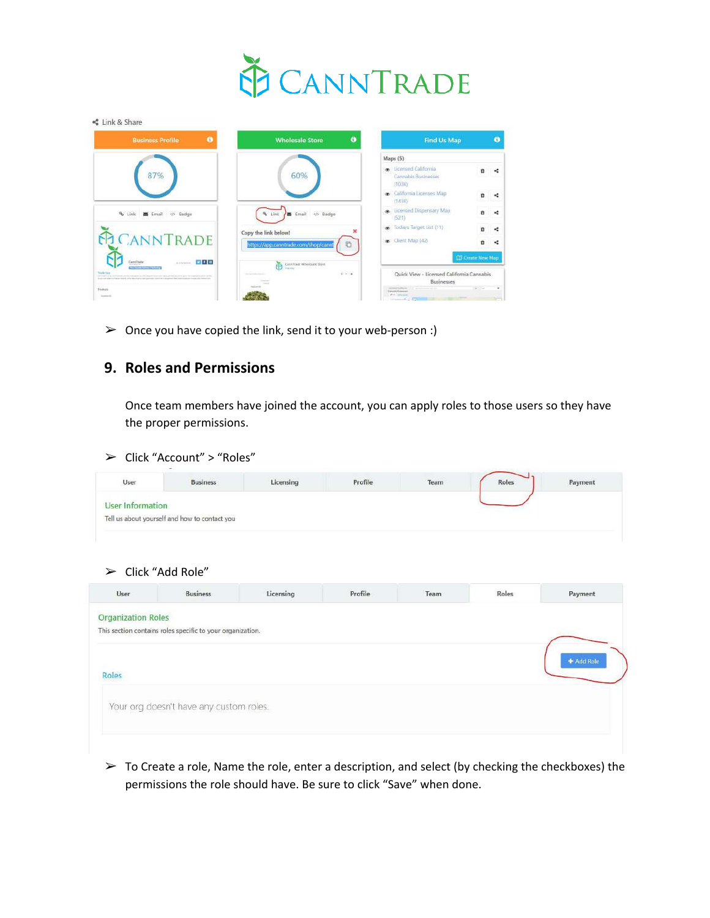

| $\bullet$<br><b>Business Profile</b>                                                                                                                                                                                                                   | $\bullet$<br><b>Wholesale Store</b>               | <b>Find Us Map</b>                                                  |                                                                                                                                                                                                                                                                                                                                                              | $\bullet$ |
|--------------------------------------------------------------------------------------------------------------------------------------------------------------------------------------------------------------------------------------------------------|---------------------------------------------------|---------------------------------------------------------------------|--------------------------------------------------------------------------------------------------------------------------------------------------------------------------------------------------------------------------------------------------------------------------------------------------------------------------------------------------------------|-----------|
|                                                                                                                                                                                                                                                        |                                                   | Maps (5)                                                            |                                                                                                                                                                                                                                                                                                                                                              |           |
|                                                                                                                                                                                                                                                        | 60%                                               | · Licensed California<br>Cannabls Businesses<br>(1036)              | n                                                                                                                                                                                                                                                                                                                                                            |           |
|                                                                                                                                                                                                                                                        |                                                   | co California Licenses Map<br>(1438)                                | ٠                                                                                                                                                                                                                                                                                                                                                            | ×         |
| $%$ Link<br>Email<br>Badge                                                                                                                                                                                                                             | <br>Link<br>Email<br>×                            | . Licensed Dispensary Map<br>(521)                                  | ñ                                                                                                                                                                                                                                                                                                                                                            |           |
|                                                                                                                                                                                                                                                        | ×<br>Copy the link below!                         | s Todays Target List (11)                                           | <b>D</b>                                                                                                                                                                                                                                                                                                                                                     | ĸ         |
| CANNTRADE                                                                                                                                                                                                                                              | C<br>https://app.canntrade.com/shop/cannt         | Client Map (42)                                                     | в                                                                                                                                                                                                                                                                                                                                                            | ĸ         |
| 同期間<br>Castillate<br>da drivenese<br><b>CARLO ANY</b><br><b>COLUMN TWO IS NOT THE OWNER.</b>                                                                                                                                                           | 甬<br>Carrillade Wholesale Stare<br><b>For the</b> | <b>ED</b> Create New Map                                            |                                                                                                                                                                                                                                                                                                                                                              |           |
| <b>South East</b><br>three president and a property of the property of the second state of the company of the second state of the<br>the contractors below that the property and the contractors are an experimental and and a contract the contractor | $-14$<br>--                                       | Quick View - Licensed California Cannabis<br><b>Businesses</b>      |                                                                                                                                                                                                                                                                                                                                                              |           |
| <b>Zooluris</b><br><b>SALES</b>                                                                                                                                                                                                                        |                                                   | an result of Littlewise.<br>Edmonto Kusmowin<br>when the processing | $\label{eq:1.1} \frac{1}{2} \sum_{i=1}^n \frac{1}{2} \sum_{i=1}^n \frac{1}{2} \sum_{i=1}^n \frac{1}{2} \sum_{i=1}^n \frac{1}{2} \sum_{i=1}^n \frac{1}{2} \sum_{i=1}^n \frac{1}{2} \sum_{i=1}^n \frac{1}{2} \sum_{i=1}^n \frac{1}{2} \sum_{i=1}^n \frac{1}{2} \sum_{i=1}^n \frac{1}{2} \sum_{i=1}^n \frac{1}{2} \sum_{i=1}^n \frac{1}{2} \sum_{i=1}^n \frac{$ | ٠         |

 $\triangleright$  Once you have copied the link, send it to your web-person :)

### **9. Roles and Permissions**

Once team members have joined the account, you can apply roles to those users so they have the proper permissions.

#### ➢ Click "Account" > "Roles"

| <b>User Information</b> |                                               |  |  |  |
|-------------------------|-----------------------------------------------|--|--|--|
|                         | Tell us about yourself and how to contact you |  |  |  |
|                         |                                               |  |  |  |

#### $\triangleright$  Click "Add Role"

| <b>Organization Roles</b><br>This section contains roles specific to your organization.<br>Roles<br>Your org doesn't have any custom roles. | Payment    | Roles | Team | Profile | Licensing | <b>Business</b> | User |
|---------------------------------------------------------------------------------------------------------------------------------------------|------------|-------|------|---------|-----------|-----------------|------|
|                                                                                                                                             |            |       |      |         |           |                 |      |
|                                                                                                                                             |            |       |      |         |           |                 |      |
|                                                                                                                                             | + Add Role |       |      |         |           |                 |      |
|                                                                                                                                             |            |       |      |         |           |                 |      |
|                                                                                                                                             |            |       |      |         |           |                 |      |
|                                                                                                                                             |            |       |      |         |           |                 |      |
|                                                                                                                                             |            |       |      |         |           |                 |      |

 $\triangleright$  To Create a role, Name the role, enter a description, and select (by checking the checkboxes) the permissions the role should have. Be sure to click "Save" when done.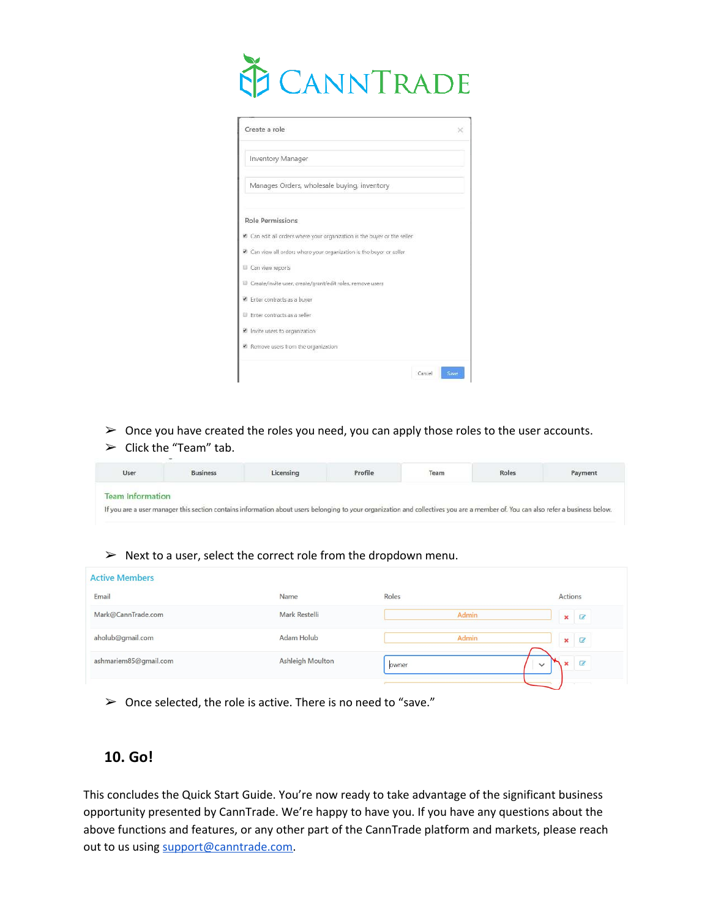

| Create a role                                                          |  |
|------------------------------------------------------------------------|--|
| Inventory Manager                                                      |  |
| Manages Orders, wholesale buying, inventory                            |  |
| Role Permissions                                                       |  |
| Can edit all orders where your organization is the buyer or the seller |  |
| Can view all orders where your organization is the buyer or seller     |  |
| Can view reports                                                       |  |
| Create/invite user, create/grant/edit roles, remove users              |  |
| <sup>60</sup> Enter contracts as a buyer                               |  |
| El Enter contracts as a seller                                         |  |
| Invite users to organization                                           |  |
| R Remove users from the organization                                   |  |

- $\triangleright$  Once you have created the roles you need, you can apply those roles to the user accounts.
- $\geq$  Click the "Team" tab.

| User | <b>Business</b> | Licensing | Profile | Team | Roles | Payment |
|------|-----------------|-----------|---------|------|-------|---------|
|      |                 |           |         |      |       |         |

#### $\triangleright$  Next to a user, select the correct role from the dropdown menu.

| Email<br>Roles<br>Name<br>Mark Restelli<br>Mark@CannTrade.com | Actions                                          |
|---------------------------------------------------------------|--------------------------------------------------|
|                                                               |                                                  |
|                                                               | <b>Admin</b><br>$\pmb{\times}$<br>$\overline{a}$ |
| Adam Holub<br>aholub@gmail.com                                | Admin<br>$\mathbb{Z}$<br>×                       |
| <b>Ashleigh Moulton</b><br>ashmariem85@gmail.com<br>owner     | $\overline{a}$<br>×<br>$\checkmark$              |

 $\geq$  Once selected, the role is active. There is no need to "save."

### **10. Go!**

This concludes the Quick Start Guide. You're now ready to take advantage of the significant business opportunity presented by CannTrade. We're happy to have you. If you have any questions about the above functions and features, or any other part of the CannTrade platform and markets, please reach out to us using [support@canntrade.com.](mailto:support@canntrade.com)